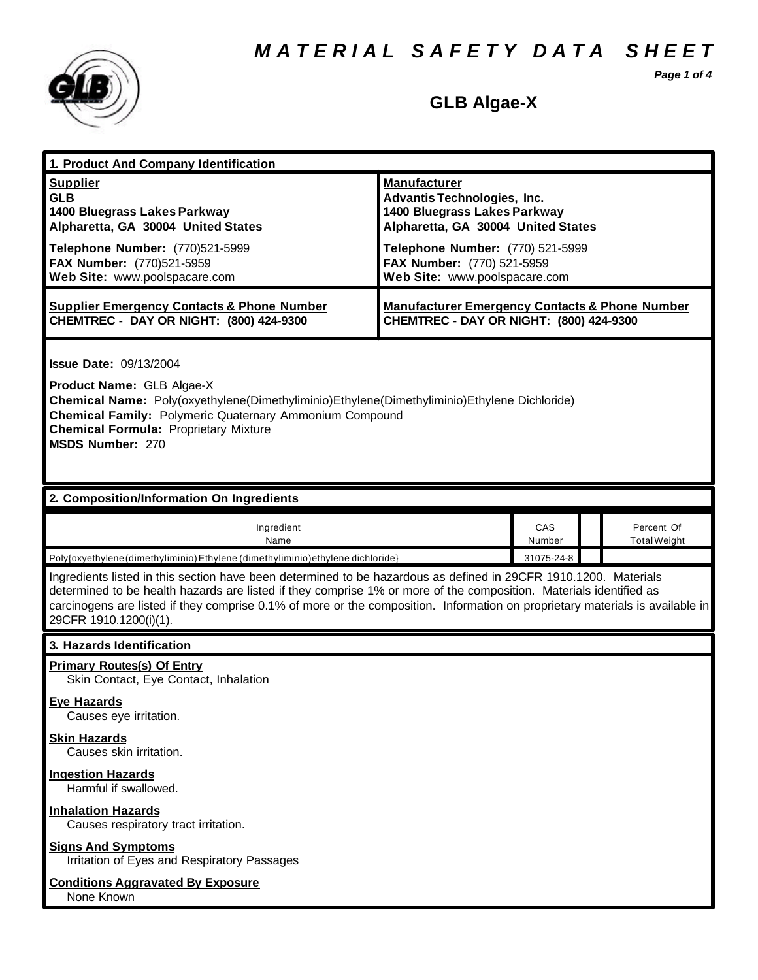*M A T E R I A L S A F E T Y D A T A S H E E T*

*Page 1 of 4*



# **GLB Algae-X**

| 1. Product And Company Identification                                                                                                                                                                                                                                                                                                                                                                                                        |                                                                                                                                                                                                                                    |               |  |                                   |
|----------------------------------------------------------------------------------------------------------------------------------------------------------------------------------------------------------------------------------------------------------------------------------------------------------------------------------------------------------------------------------------------------------------------------------------------|------------------------------------------------------------------------------------------------------------------------------------------------------------------------------------------------------------------------------------|---------------|--|-----------------------------------|
| <b>Supplier</b><br><b>GLB</b><br>1400 Bluegrass Lakes Parkway<br>Alpharetta, GA 30004 United States<br>Telephone Number: (770)521-5999<br>FAX Number: (770)521-5959<br>Web Site: www.poolspacare.com                                                                                                                                                                                                                                         | <b>Manufacturer</b><br><b>Advantis Technologies, Inc.</b><br>1400 Bluegrass Lakes Parkway<br>Alpharetta, GA 30004 United States<br>Telephone Number: (770) 521-5999<br>FAX Number: (770) 521-5959<br>Web Site: www.poolspacare.com |               |  |                                   |
| <b>Supplier Emergency Contacts &amp; Phone Number</b><br>CHEMTREC - DAY OR NIGHT: (800) 424-9300                                                                                                                                                                                                                                                                                                                                             | <b>Manufacturer Emergency Contacts &amp; Phone Number</b><br>CHEMTREC - DAY OR NIGHT: (800) 424-9300                                                                                                                               |               |  |                                   |
| <b>Issue Date: 09/13/2004</b><br>Product Name: GLB Algae-X<br>Chemical Name: Poly(oxyethylene(Dimethyliminio)Ethylene(Dimethyliminio)Ethylene Dichloride)<br><b>Chemical Family: Polymeric Quaternary Ammonium Compound</b><br><b>Chemical Formula: Proprietary Mixture</b><br><b>MSDS Number: 270</b>                                                                                                                                       |                                                                                                                                                                                                                                    |               |  |                                   |
| 2. Composition/Information On Ingredients                                                                                                                                                                                                                                                                                                                                                                                                    |                                                                                                                                                                                                                                    |               |  |                                   |
| Ingredient<br>Name                                                                                                                                                                                                                                                                                                                                                                                                                           |                                                                                                                                                                                                                                    | CAS<br>Number |  | Percent Of<br><b>Total Weight</b> |
| Poly{oxyethylene (dimethyliminio) Ethylene (dimethyliminio) ethylene dichloride}                                                                                                                                                                                                                                                                                                                                                             |                                                                                                                                                                                                                                    | 31075-24-8    |  |                                   |
| Ingredients listed in this section have been determined to be hazardous as defined in 29CFR 1910.1200. Materials<br>determined to be health hazards are listed if they comprise 1% or more of the composition. Materials identified as<br>carcinogens are listed if they comprise 0.1% of more or the composition. Information on proprietary materials is available in<br>29CFR 1910.1200(i)(1).                                            |                                                                                                                                                                                                                                    |               |  |                                   |
| 3. Hazards Identification                                                                                                                                                                                                                                                                                                                                                                                                                    |                                                                                                                                                                                                                                    |               |  |                                   |
| <b>Primary Routes(s) Of Entry</b><br>Skin Contact, Eye Contact, Inhalation<br><b>Eye Hazards</b><br>Causes eye irritation.<br><b>Skin Hazards</b><br>Causes skin irritation.<br><b>Ingestion Hazards</b><br>Harmful if swallowed.<br><b>Inhalation Hazards</b><br>Causes respiratory tract irritation.<br><b>Signs And Symptoms</b><br>Irritation of Eyes and Respiratory Passages<br><b>Conditions Aggravated By Exposure</b><br>None Known |                                                                                                                                                                                                                                    |               |  |                                   |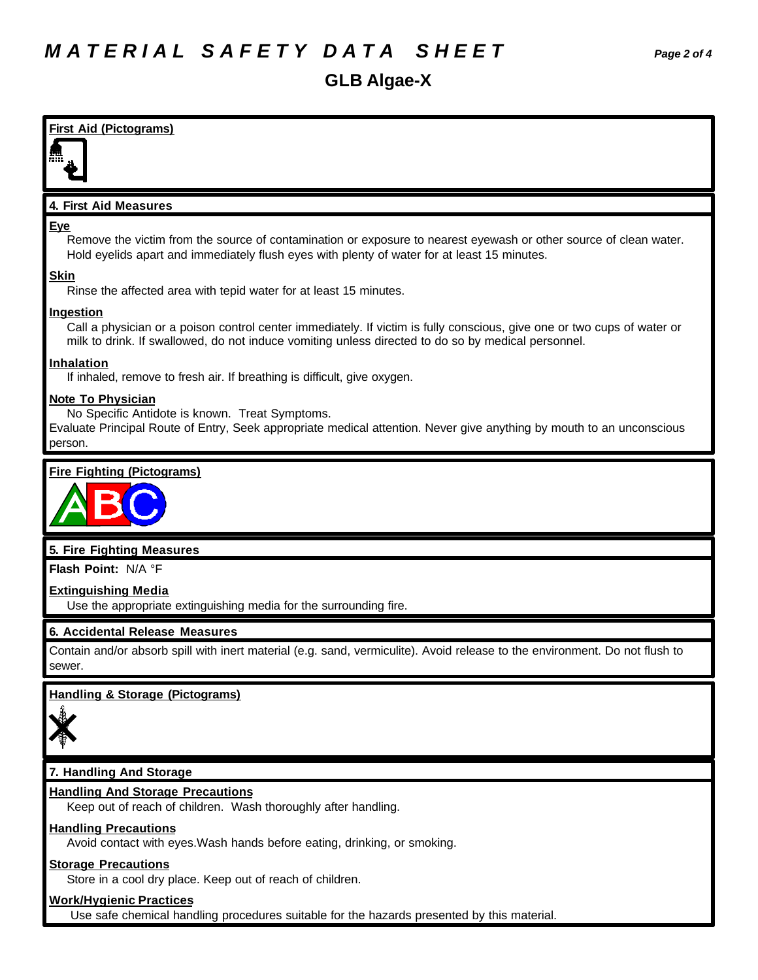# **GLB Algae-X**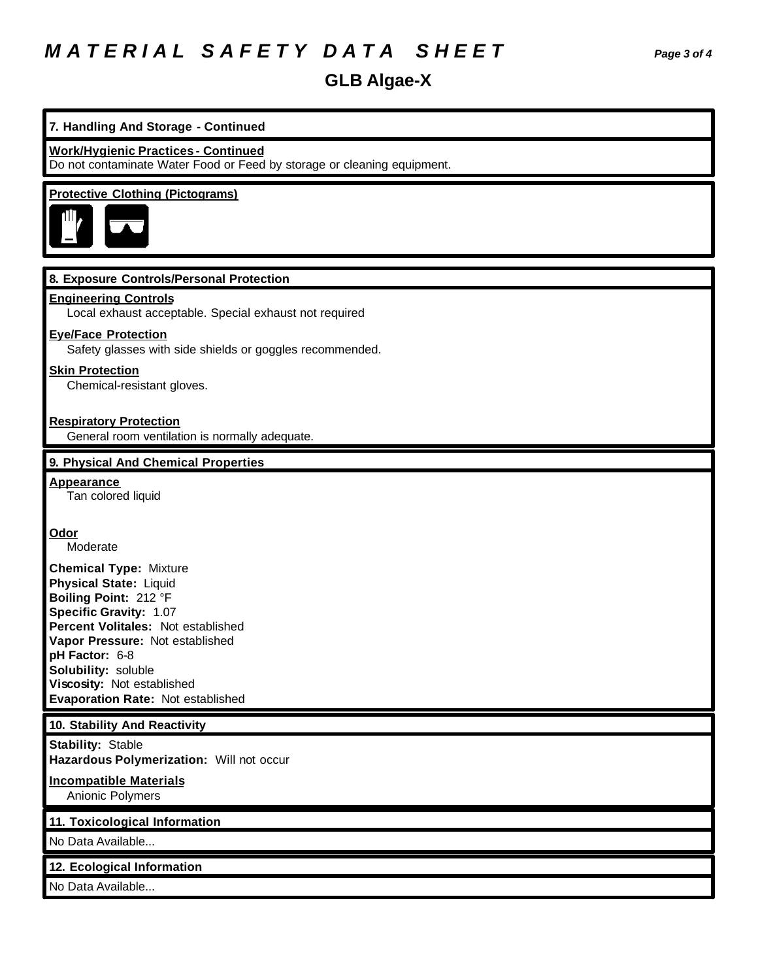# *M A T E R I A L S A F E T Y D A T A S H E E T Page 3 of 4*

# **GLB Algae-X**

| 7. Handling And Storage - Continued                                                                                                                                                                                                                                                                           |
|---------------------------------------------------------------------------------------------------------------------------------------------------------------------------------------------------------------------------------------------------------------------------------------------------------------|
| <b>Work/Hygienic Practices - Continued</b><br>Do not contaminate Water Food or Feed by storage or cleaning equipment.                                                                                                                                                                                         |
| <b>Protective Clothing (Pictograms)</b>                                                                                                                                                                                                                                                                       |
| 8. Exposure Controls/Personal Protection                                                                                                                                                                                                                                                                      |
| <b>Engineering Controls</b><br>Local exhaust acceptable. Special exhaust not required                                                                                                                                                                                                                         |
| <b>Eye/Face Protection</b><br>Safety glasses with side shields or goggles recommended.                                                                                                                                                                                                                        |
| <b>Skin Protection</b><br>Chemical-resistant gloves.                                                                                                                                                                                                                                                          |
| <b>Respiratory Protection</b><br>General room ventilation is normally adequate.                                                                                                                                                                                                                               |
| 9. Physical And Chemical Properties                                                                                                                                                                                                                                                                           |
| <b>Appearance</b><br>Tan colored liquid                                                                                                                                                                                                                                                                       |
| <b>Odor</b><br>Moderate                                                                                                                                                                                                                                                                                       |
| <b>Chemical Type: Mixture</b><br><b>Physical State: Liquid</b><br>Boiling Point: 212 °F<br><b>Specific Gravity: 1.07</b><br>Percent Volitales: Not established<br>Vapor Pressure: Not established<br>pH Factor: 6-8<br>Solubility: soluble<br>Viscosity: Not established<br>Evaporation Rate: Not established |
| 10. Stability And Reactivity                                                                                                                                                                                                                                                                                  |
| <b>Stability: Stable</b><br>Hazardous Polymerization: Will not occur                                                                                                                                                                                                                                          |
| <b>Incompatible Materials</b><br>Anionic Polymers                                                                                                                                                                                                                                                             |
| 11. Toxicological Information                                                                                                                                                                                                                                                                                 |
| No Data Available                                                                                                                                                                                                                                                                                             |
| 12. Ecological Information                                                                                                                                                                                                                                                                                    |
| No Data Available                                                                                                                                                                                                                                                                                             |